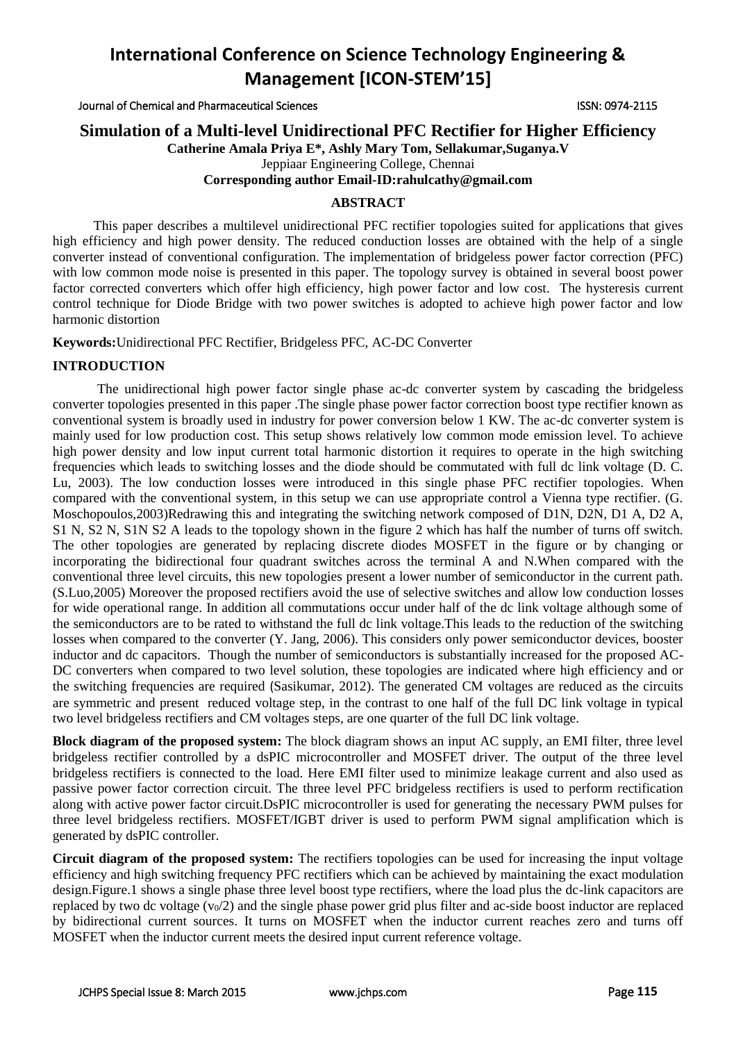Journal of Chemical and Pharmaceutical Sciences ISSN: 0974-2115

## **Simulation of a Multi-level Unidirectional PFC Rectifier for Higher Efficiency**

**Catherine Amala Priya E\*, Ashly Mary Tom, Sellakumar,Suganya.V**

Jeppiaar Engineering College, Chennai

## **Corresponding author Email-ID:rahulcathy@gmail.com**

## **ABSTRACT**

 This paper describes a multilevel unidirectional PFC rectifier topologies suited for applications that gives high efficiency and high power density. The reduced conduction losses are obtained with the help of a single converter instead of conventional configuration. The implementation of bridgeless power factor correction (PFC) with low common mode noise is presented in this paper. The topology survey is obtained in several boost power factor corrected converters which offer high efficiency, high power factor and low cost. The hysteresis current control technique for Diode Bridge with two power switches is adopted to achieve high power factor and low harmonic distortion

**Keywords:**Unidirectional PFC Rectifier, Bridgeless PFC, AC-DC Converter

## **INTRODUCTION**

The unidirectional high power factor single phase ac-dc converter system by cascading the bridgeless converter topologies presented in this paper .The single phase power factor correction boost type rectifier known as conventional system is broadly used in industry for power conversion below 1 KW. The ac-dc converter system is mainly used for low production cost. This setup shows relatively low common mode emission level. To achieve high power density and low input current total harmonic distortion it requires to operate in the high switching frequencies which leads to switching losses and the diode should be commutated with full dc link voltage (D. C. Lu, 2003). The low conduction losses were introduced in this single phase PFC rectifier topologies. When compared with the conventional system, in this setup we can use appropriate control a Vienna type rectifier. (G. Moschopoulos,2003)Redrawing this and integrating the switching network composed of D1N, D2N, D1 A, D2 A, S1 N, S2 N, S1N S2 A leads to the topology shown in the figure 2 which has half the number of turns off switch. The other topologies are generated by replacing discrete diodes MOSFET in the figure or by changing or incorporating the bidirectional four quadrant switches across the terminal A and N.When compared with the conventional three level circuits, this new topologies present a lower number of semiconductor in the current path. (S.Luo,2005) Moreover the proposed rectifiers avoid the use of selective switches and allow low conduction losses for wide operational range. In addition all commutations occur under half of the dc link voltage although some of the semiconductors are to be rated to withstand the full dc link voltage.This leads to the reduction of the switching losses when compared to the converter (Y. Jang, 2006). This considers only power semiconductor devices, booster inductor and dc capacitors. Though the number of semiconductors is substantially increased for the proposed AC-DC converters when compared to two level solution, these topologies are indicated where high efficiency and or the switching frequencies are required (Sasikumar, 2012). The generated CM voltages are reduced as the circuits are symmetric and present reduced voltage step, in the contrast to one half of the full DC link voltage in typical two level bridgeless rectifiers and CM voltages steps, are one quarter of the full DC link voltage.

**Block diagram of the proposed system:** The block diagram shows an input AC supply, an EMI filter, three level bridgeless rectifier controlled by a dsPIC microcontroller and MOSFET driver. The output of the three level bridgeless rectifiers is connected to the load. Here EMI filter used to minimize leakage current and also used as passive power factor correction circuit. The three level PFC bridgeless rectifiers is used to perform rectification along with active power factor circuit.DsPIC microcontroller is used for generating the necessary PWM pulses for three level bridgeless rectifiers. MOSFET/IGBT driver is used to perform PWM signal amplification which is generated by dsPIC controller.

**Circuit diagram of the proposed system:** The rectifiers topologies can be used for increasing the input voltage efficiency and high switching frequency PFC rectifiers which can be achieved by maintaining the exact modulation design.Figure.1 shows a single phase three level boost type rectifiers, where the load plus the dc-link capacitors are replaced by two dc voltage  $(v_0/2)$  and the single phase power grid plus filter and ac-side boost inductor are replaced by bidirectional current sources. It turns on MOSFET when the inductor current reaches zero and turns off MOSFET when the inductor current meets the desired input current reference voltage.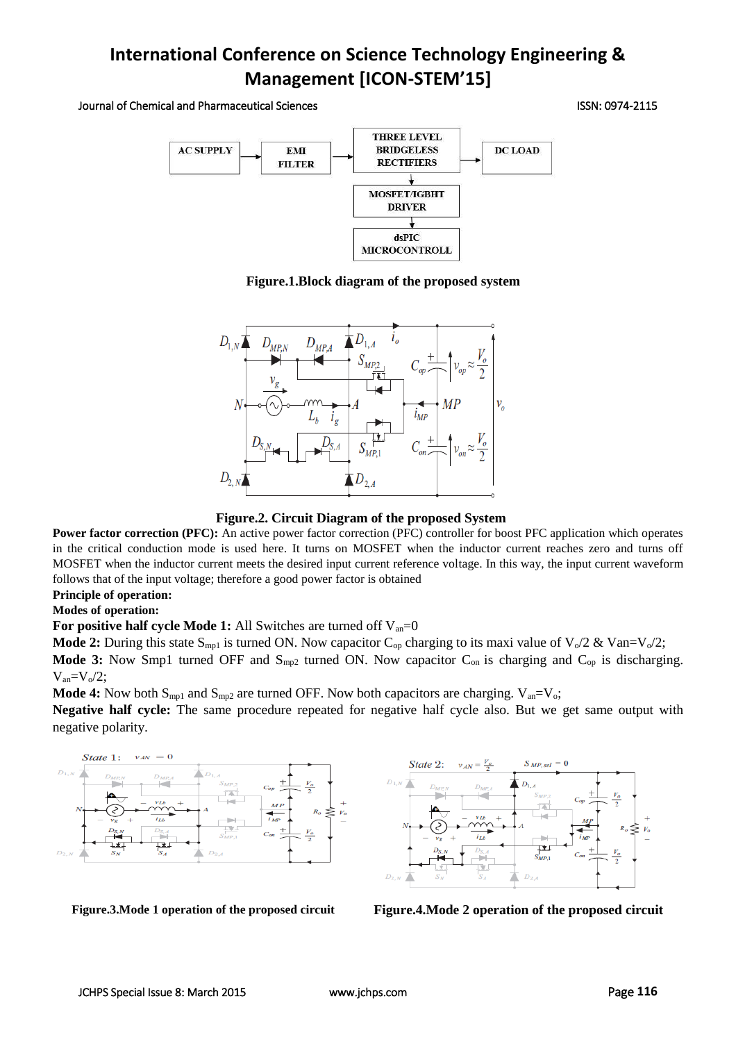Journal of Chemical and Pharmaceutical Sciences ISSN: 0974-2115



**Figure.1.Block diagram of the proposed system**



**Figure.2. Circuit Diagram of the proposed System**

**Power factor correction (PFC):** An active power factor correction (PFC) controller for boost PFC application which operates in the critical conduction mode is used here. It turns on MOSFET when the inductor current reaches zero and turns off MOSFET when the inductor current meets the desired input current reference voltage. In this way, the input current waveform follows that of the input voltage; therefore a good power factor is obtained

## **Principle of operation:**

### **Modes of operation:**

**For positive half cycle Mode 1:** All Switches are turned off V<sub>an</sub>=0

**Mode 2:** During this state S<sub>mp1</sub> is turned ON. Now capacitor C<sub>op</sub> charging to its maxi value of V<sub>o</sub>/2 & Van=V<sub>o</sub>/2; Mode 3: Now Smp1 turned OFF and S<sub>mp2</sub> turned ON. Now capacitor C<sub>on</sub> is charging and C<sub>op</sub> is discharging.  $V_{\text{an}}=V_0/2$ ;

**Mode 4:** Now both  $S_{mp1}$  and  $S_{mp2}$  are turned OFF. Now both capacitors are charging.  $V_{an}=V_o$ ;

**Negative half cycle:** The same procedure repeated for negative half cycle also. But we get same output with negative polarity.





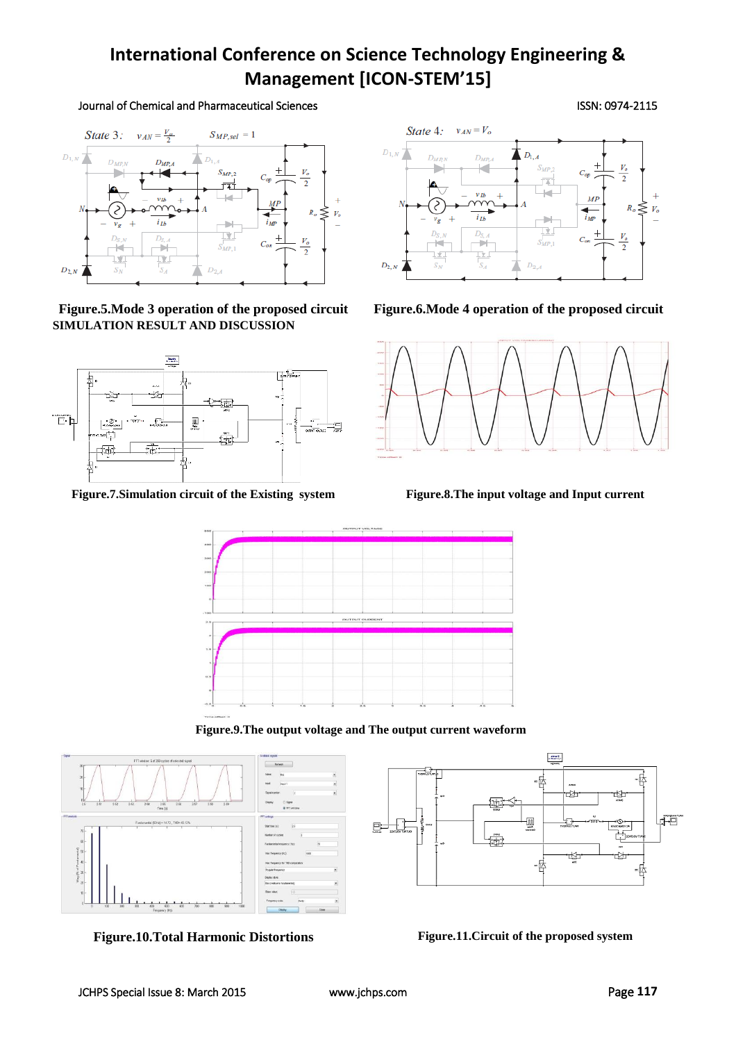## Journal of Chemical and Pharmaceutical Sciences ISSN: 0974-2115



**Figure.5.Mode 3 operation of the proposed circuit Figure.6.Mode 4 operation of the proposed circuit SIMULATION RESULT AND DISCUSSION**



**Figure.7.Simulation circuit of the Existing system Figure.8.The input voltage and Input current**







**Figure.9.The output voltage and The output current waveform**



**Figure.10.Total Harmonic Distortions Figure.11.Circuit of the proposed system**

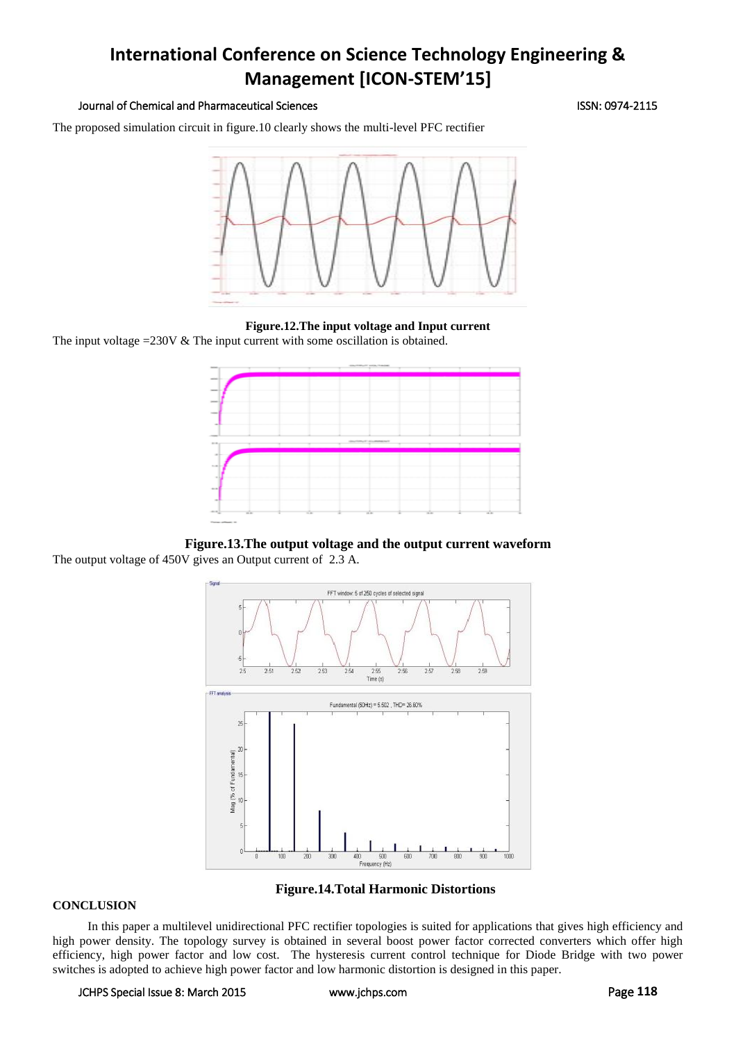### Journal of Chemical and Pharmaceutical Sciences ISSN: 0974-2115

The proposed simulation circuit in figure.10 clearly shows the multi-level PFC rectifier



**Figure.12.The input voltage and Input current** The input voltage =230V & The input current with some oscillation is obtained.



**Figure.13.The output voltage and the output current waveform** The output voltage of 450V gives an Output current of 2.3 A.



**Figure.14.Total Harmonic Distortions**

#### **CONCLUSION**

In this paper a multilevel unidirectional PFC rectifier topologies is suited for applications that gives high efficiency and high power density. The topology survey is obtained in several boost power factor corrected converters which offer high efficiency, high power factor and low cost. The hysteresis current control technique for Diode Bridge with two power switches is adopted to achieve high power factor and low harmonic distortion is designed in this paper.